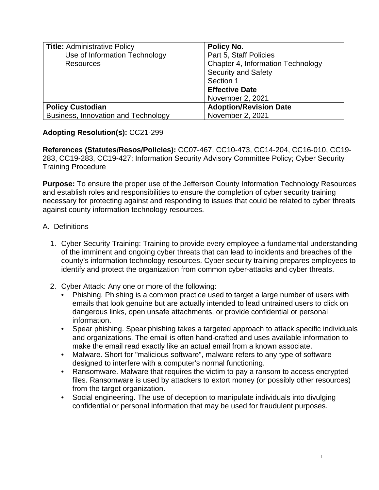| <b>Title: Administrative Policy</b> | <b>Policy No.</b>                 |
|-------------------------------------|-----------------------------------|
| Use of Information Technology       | Part 5, Staff Policies            |
| <b>Resources</b>                    | Chapter 4, Information Technology |
|                                     | <b>Security and Safety</b>        |
|                                     | Section 1                         |
|                                     | <b>Effective Date</b>             |
|                                     | November 2, 2021                  |
| <b>Policy Custodian</b>             | <b>Adoption/Revision Date</b>     |
| Business, Innovation and Technology | November 2, 2021                  |

## **Adopting Resolution(s):** CC21-299

**References (Statutes/Resos/Policies):** CC07-467, CC10-473, CC14-204, CC16-010, CC19- 283, CC19-283, CC19-427; Information Security Advisory Committee Policy; Cyber Security Training Procedure

**Purpose:** To ensure the proper use of the Jefferson County Information Technology Resources and establish roles and responsibilities to ensure the completion of cyber security training necessary for protecting against and responding to issues that could be related to cyber threats against county information technology resources.

## A. Definitions

- 1. Cyber Security Training: Training to provide every employee a fundamental understanding of the imminent and ongoing cyber threats that can lead to incidents and breaches of the county's information technology resources. Cyber security training prepares employees to identify and protect the organization from common cyber-attacks and cyber threats.
- 2. Cyber Attack: Any one or more of the following:
	- Phishing. Phishing is a common practice used to target a large number of users with emails that look genuine but are actually intended to lead untrained users to click on dangerous links, open unsafe attachments, or provide confidential or personal information.
	- Spear phishing. Spear phishing takes a targeted approach to attack specific individuals and organizations. The email is often hand-crafted and uses available information to make the email read exactly like an actual email from a known associate.
	- Malware. Short for "malicious software", malware refers to any type of software designed to interfere with a computer's normal functioning.
	- Ransomware. Malware that requires the victim to pay a ransom to access encrypted files. Ransomware is used by attackers to extort money (or possibly other resources) from the target organization.
	- Social engineering. The use of deception to manipulate individuals into divulging confidential or personal information that may be used for fraudulent purposes.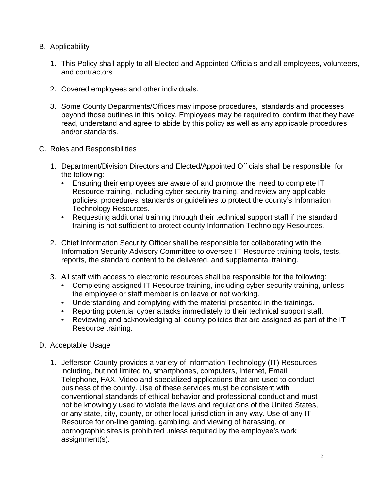- B. Applicability
	- 1. This Policy shall apply to all Elected and Appointed Officials and all employees, volunteers, and contractors.
	- 2. Covered employees and other individuals.
	- 3. Some County Departments/Offices may impose procedures, standards and processes beyond those outlines in this policy. Employees may be required to confirm that they have read, understand and agree to abide by this policy as well as any applicable procedures and/or standards.
- C. Roles and Responsibilities
	- 1. Department/Division Directors and Elected/Appointed Officials shall be responsible for the following:
		- Ensuring their employees are aware of and promote the need to complete IT Resource training, including cyber security training, and review any applicable policies, procedures, standards or guidelines to protect the county's Information Technology Resources.
		- Requesting additional training through their technical support staff if the standard training is not sufficient to protect county Information Technology Resources.
	- 2. Chief Information Security Officer shall be responsible for collaborating with the Information Security Advisory Committee to oversee IT Resource training tools, tests, reports, the standard content to be delivered, and supplemental training.
	- 3. All staff with access to electronic resources shall be responsible for the following:
		- Completing assigned IT Resource training, including cyber security training, unless the employee or staff member is on leave or not working.
		- Understanding and complying with the material presented in the trainings.
		- Reporting potential cyber attacks immediately to their technical support staff.
		- Reviewing and acknowledging all county policies that are assigned as part of the IT Resource training.
- D. Acceptable Usage
	- 1. Jefferson County provides a variety of Information Technology (IT) Resources including, but not limited to, smartphones, computers, Internet, Email, Telephone, FAX, Video and specialized applications that are used to conduct business of the county. Use of these services must be consistent with conventional standards of ethical behavior and professional conduct and must not be knowingly used to violate the laws and regulations of the United States, or any state, city, county, or other local jurisdiction in any way. Use of any IT Resource for on-line gaming, gambling, and viewing of harassing, or pornographic sites is prohibited unless required by the employee's work assignment(s).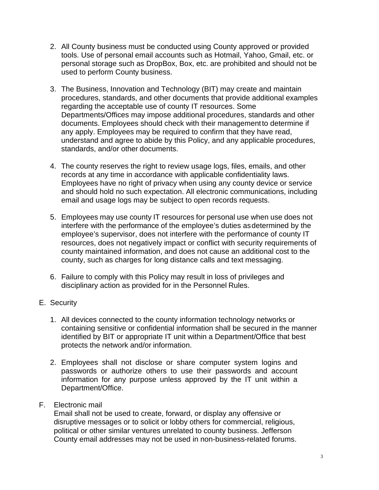- 2. All County business must be conducted using County approved or provided tools. Use of personal email accounts such as Hotmail, Yahoo, Gmail, etc. or personal storage such as DropBox, Box, etc. are prohibited and should not be used to perform County business.
- 3. The Business, Innovation and Technology (BIT) may create and maintain procedures, standards, and other documents that provide additional examples regarding the acceptable use of county IT resources. Some Departments/Offices may impose additional procedures, standards and other documents. Employees should check with their managementto determine if any apply. Employees may be required to confirm that they have read, understand and agree to abide by this Policy, and any applicable procedures, standards, and/or other documents.
- 4. The county reserves the right to review usage logs, files, emails, and other records at any time in accordance with applicable confidentiality laws. Employees have no right of privacy when using any county device or service and should hold no such expectation. All electronic communications, including email and usage logs may be subject to open records requests.
- 5. Employees may use county IT resources for personal use when use does not interfere with the performance of the employee's duties asdetermined by the employee's supervisor, does not interfere with the performance of county IT resources, does not negatively impact or conflict with security requirements of county maintained information, and does not cause an additional cost to the county, such as charges for long distance calls and text messaging.
- 6. Failure to comply with this Policy may result in loss of privileges and disciplinary action as provided for in the Personnel Rules.
- E. Security
	- 1. All devices connected to the county information technology networks or containing sensitive or confidential information shall be secured in the manner identified by BIT or appropriate IT unit within a Department/Office that best protects the network and/or information.
	- 2. Employees shall not disclose or share computer system logins and passwords or authorize others to use their passwords and account information for any purpose unless approved by the IT unit within a Department/Office.
- F. Electronic mail

Email shall not be used to create, forward, or display any offensive or disruptive messages or to solicit or lobby others for commercial, religious, political or other similar ventures unrelated to county business. Jefferson County email addresses may not be used in non-business-related forums.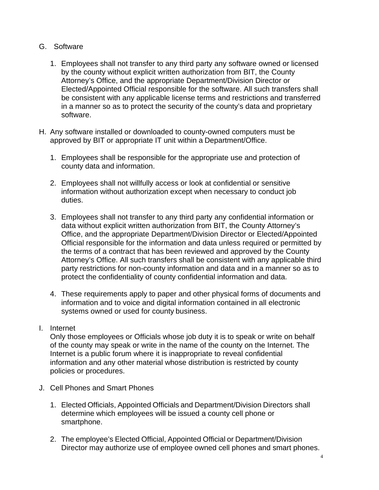- G. Software
	- 1. Employees shall not transfer to any third party any software owned or licensed by the county without explicit written authorization from BIT, the County Attorney's Office, and the appropriate Department/Division Director or Elected/Appointed Official responsible for the software. All such transfers shall be consistent with any applicable license terms and restrictions and transferred in a manner so as to protect the security of the county's data and proprietary software.
- H. Any software installed or downloaded to county-owned computers must be approved by BIT or appropriate IT unit within a Department/Office.
	- 1. Employees shall be responsible for the appropriate use and protection of county data and information.
	- 2. Employees shall not willfully access or look at confidential or sensitive information without authorization except when necessary to conduct job duties.
	- 3. Employees shall not transfer to any third party any confidential information or data without explicit written authorization from BIT, the County Attorney's Office, and the appropriate Department/Division Director or Elected/Appointed Official responsible for the information and data unless required or permitted by the terms of a contract that has been reviewed and approved by the County Attorney's Office. All such transfers shall be consistent with any applicable third party restrictions for non-county information and data and in a manner so as to protect the confidentiality of county confidential information and data.
	- 4. These requirements apply to paper and other physical forms of documents and information and to voice and digital information contained in all electronic systems owned or used for county business.
- I. Internet

Only those employees or Officials whose job duty it is to speak or write on behalf of the county may speak or write in the name of the county on the Internet. The Internet is a public forum where it is inappropriate to reveal confidential information and any other material whose distribution is restricted by county policies or procedures.

- J. Cell Phones and Smart Phones
	- 1. Elected Officials, Appointed Officials and Department/Division Directors shall determine which employees will be issued a county cell phone or smartphone.
	- 2. The employee's Elected Official, Appointed Official or Department/Division Director may authorize use of employee owned cell phones and smart phones.